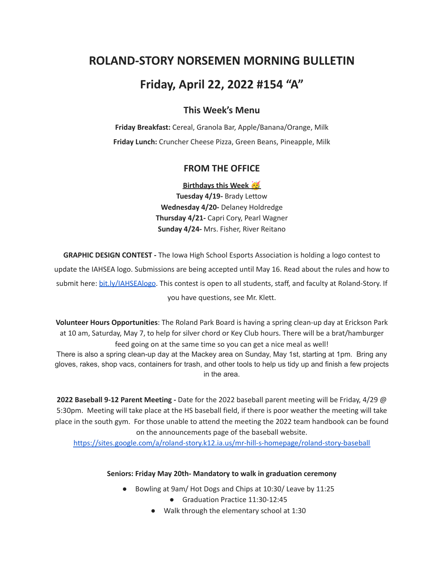# **ROLAND-STORY NORSEMEN MORNING BULLETIN**

# **Friday, April 22, 2022 #154 "A"**

# **This Week's Menu**

**Friday Breakfast:** Cereal, Granola Bar, Apple/Banana/Orange, Milk **Friday Lunch:** Cruncher Cheese Pizza, Green Beans, Pineapple, Milk

## **FROM THE OFFICE**

**Birthdays this Week Tuesday 4/19-** Brady Lettow **Wednesday 4/20-** Delaney Holdredge **Thursday 4/21-** Capri Cory, Pearl Wagner **Sunday 4/24-** Mrs. Fisher, River Reitano

**GRAPHIC DESIGN CONTEST -** The Iowa High School Esports Association is holding a logo contest to update the IAHSEA logo. Submissions are being accepted until May 16. Read about the rules and how to submit here: [bit.ly/IAHSEAlogo.](http://bit.ly/IAHSEAlogo) This contest is open to all students, staff, and faculty at Roland-Story. If you have questions, see Mr. Klett.

**Volunteer Hours Opportunities**: The Roland Park Board is having a spring clean-up day at Erickson Park at 10 am, Saturday, May 7, to help for silver chord or Key Club hours. There will be a brat/hamburger feed going on at the same time so you can get a nice meal as well!

There is also a spring clean-up day at the Mackey area on Sunday, May 1st, starting at 1pm. Bring any gloves, rakes, shop vacs, containers for trash, and other tools to help us tidy up and finish a few projects in the area.

**2022 Baseball 9-12 Parent Meeting -** Date for the 2022 baseball parent meeting will be Friday, 4/29 @ 5:30pm. Meeting will take place at the HS baseball field, if there is poor weather the meeting will take place in the south gym. For those unable to attend the meeting the 2022 team handbook can be found on the announcements page of the baseball website.

<https://sites.google.com/a/roland-story.k12.ia.us/mr-hill-s-homepage/roland-story-baseball>

#### **Seniors: Friday May 20th- Mandatory to walk in graduation ceremony**

- Bowling at 9am/ Hot Dogs and Chips at 10:30/ Leave by 11:25
	- Graduation Practice 11:30-12:45
	- Walk through the elementary school at 1:30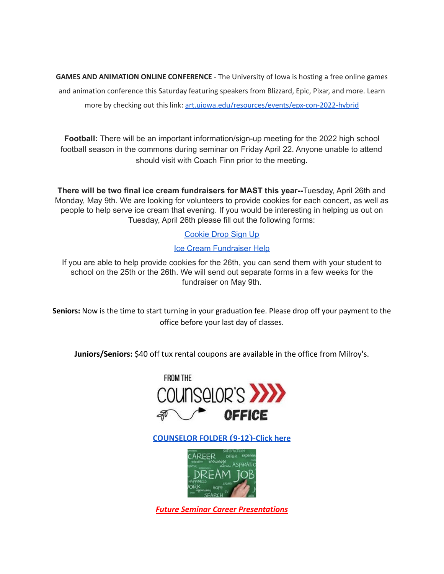**GAMES AND ANIMATION ONLINE CONFERENCE** - The University of Iowa is hosting a free online games and animation conference this Saturday featuring speakers from Blizzard, Epic, Pixar, and more. Learn more by checking out this link: [art.uiowa.edu/resources/events/epx-con-2022-hybrid](http://art.uiowa.edu/resources/events/epx-con-2022-hybrid)

**Football:** There will be an important information/sign-up meeting for the 2022 high school football season in the commons during seminar on Friday April 22. Anyone unable to attend should visit with Coach Finn prior to the meeting.

**There will be two final ice cream fundraisers for MAST this year--**Tuesday, April 26th and Monday, May 9th. We are looking for volunteers to provide cookies for each concert, as well as people to help serve ice cream that evening. If you would be interesting in helping us out on Tuesday, April 26th please fill out the following forms:

## [Cookie](https://www.signupgenius.com/go/4090c45acac2ba31-rsmast2) Drop Sign Up

### Ice Cream [Fundraiser](https://www.signupgenius.com/go/4090c45acac2ba31-rsmast3) Help

If you are able to help provide cookies for the 26th, you can send them with your student to school on the 25th or the 26th. We will send out separate forms in a few weeks for the fundraiser on May 9th.

**Seniors:** Now is the time to start turning in your graduation fee. Please drop off your payment to the office before your last day of classes.

**Juniors/Seniors:** \$40 off tux rental coupons are available in the office from Milroy's.



**[COUNSELOR FOLDER](https://docs.google.com/document/d/1vmwczNPbDzXe9vFaG5LJMQ7NYDv-i4oQJHybqA65TUc/edit?usp=sharing) (9-12)-Click here**



*Future Seminar Career Presentations*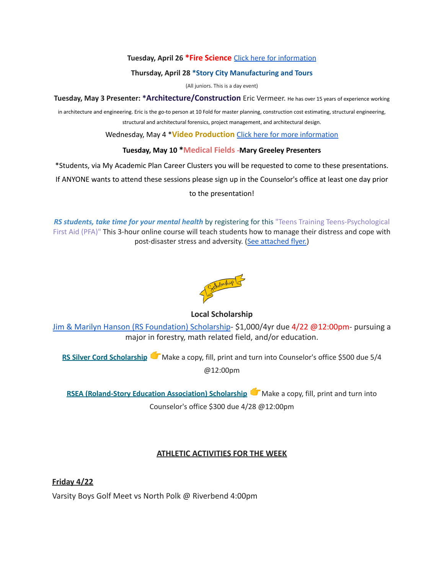#### **Tuesday, April 26 \*Fire Science** Click here for [information](https://www.dmacc.edu/programs/fire/Pages/welcome.aspx)

#### **Thursday, April 28 \*Story City Manufacturing and Tours**

(All juniors. This is a day event)

**Tuesday, May 3 Presenter: \*Architecture/Construction** Eric Vermeer. He has over <sup>15</sup> years of experience working

in architecture and engineering. Eric is the go-to person at 10 Fold for master planning, construction cost estimating, structural engineering, structural and architectural forensics, project management, and architectural design.

Wednesday, May 4 \***Video Production** Click here for more [information](https://www.dmacc.edu/programs/video/Pages/welcome.aspx)

#### **Tuesday, May 10 \*Medical Fields -Mary Greeley Presenters**

\*Students, via My Academic Plan Career Clusters you will be requested to come to these presentations.

If ANYONE wants to attend these sessions please sign up in the Counselor's office at least one day prior

to the presentation!

*RS students, take time for your mental health* by registering for this "Teens Training Teens-Psychological First Aid (PFA)" This 3-hour online course will teach students how to manage their distress and cope with post-disaster stress and adversity. (See [attached](https://drive.google.com/file/d/18ZxsDgb9mTVccDP5AD1ejwqoEi1MNUwE/view?usp=sharing) flyer.)



#### **Local Scholarship**

[Jim & Marilyn Hanson \(RS Foundation\) Scholarship](https://docs.google.com/document/d/1ZTlh8dBWKYLTE2ZXAX8cFE_071yzMHCiRBXRqeR_Sv8/edit?usp=sharing)- \$1,000/4yr due 4/22 @12:00pm- pursuing a major in forestry, math related field, and/or education.

**RS Silver Cord [Scholarship](https://docs.google.com/document/d/12og0k5MTIc1OeFEzEig2sJZbI5ykSKtMlEJRu1iKhdA/edit?usp=sharing)** Make a copy, fill, print and turn into Counselor's office \$500 due 5/4 @12:00pm

**RSEA [\(Roland-Story](https://docs.google.com/document/d/1YwFGXKN4fBAFzL5lRATvKspYv1CbagujvEZKrQq0Kcg/edit?usp=sharing) Education Association) Scholarship** Make a copy, fill, print and turn into Counselor's office \$300 due 4/28 @12:00pm

#### **ATHLETIC ACTIVITIES FOR THE WEEK**

**Friday 4/22** Varsity Boys Golf Meet vs North Polk @ Riverbend 4:00pm